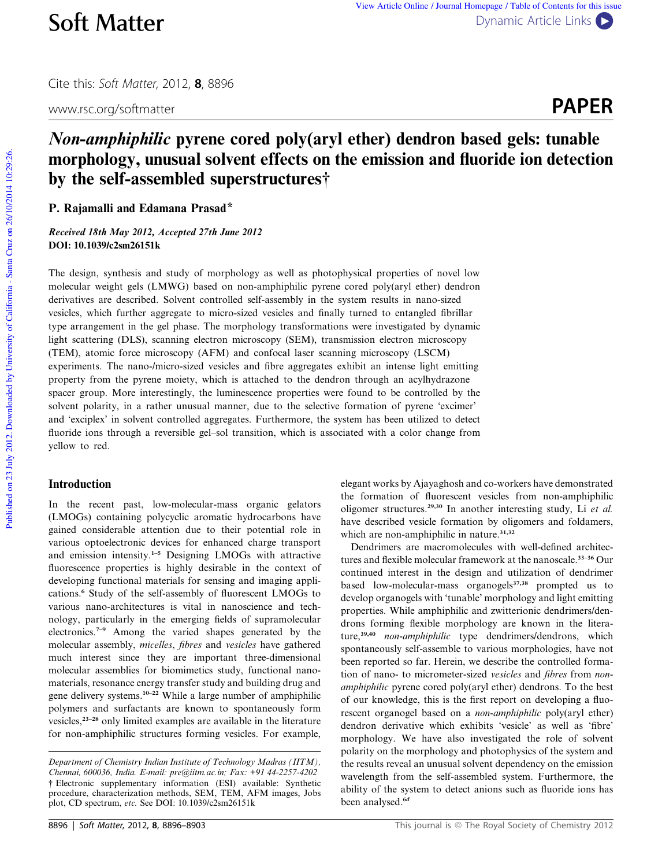www.rsc.org/softmatter **PAPER** 

# Non-amphiphilic pyrene cored poly(aryl ether) dendron based gels: tunable morphology, unusual solvent effects on the emission and fluoride ion detection by the self-assembled superstructures†

P. Rajamalli and Edamana Prasad\*

Received 18th May 2012, Accepted 27th June 2012 DOI: 10.1039/c2sm26151k

The design, synthesis and study of morphology as well as photophysical properties of novel low molecular weight gels (LMWG) based on non-amphiphilic pyrene cored poly(aryl ether) dendron derivatives are described. Solvent controlled self-assembly in the system results in nano-sized vesicles, which further aggregate to micro-sized vesicles and finally turned to entangled fibrillar type arrangement in the gel phase. The morphology transformations were investigated by dynamic light scattering (DLS), scanning electron microscopy (SEM), transmission electron microscopy (TEM), atomic force microscopy (AFM) and confocal laser scanning microscopy (LSCM) experiments. The nano-/micro-sized vesicles and fibre aggregates exhibit an intense light emitting property from the pyrene moiety, which is attached to the dendron through an acylhydrazone spacer group. More interestingly, the luminescence properties were found to be controlled by the solvent polarity, in a rather unusual manner, due to the selective formation of pyrene 'excimer' and 'exciplex' in solvent controlled aggregates. Furthermore, the system has been utilized to detect fluoride ions through a reversible gel–sol transition, which is associated with a color change from yellow to red.

# Introduction

In the recent past, low-molecular-mass organic gelators (LMOGs) containing polycyclic aromatic hydrocarbons have gained considerable attention due to their potential role in various optoelectronic devices for enhanced charge transport and emission intensity.1–5 Designing LMOGs with attractive fluorescence properties is highly desirable in the context of developing functional materials for sensing and imaging applications.<sup>6</sup> Study of the self-assembly of fluorescent LMOGs to various nano-architectures is vital in nanoscience and technology, particularly in the emerging fields of supramolecular electronics.7–9 Among the varied shapes generated by the molecular assembly, *micelles*, *fibres* and *vesicles* have gathered much interest since they are important three-dimensional molecular assemblies for biomimetics study, functional nanomaterials, resonance energy transfer study and building drug and gene delivery systems.10–22 While a large number of amphiphilic polymers and surfactants are known to spontaneously form vesicles,23–28 only limited examples are available in the literature for non-amphiphilic structures forming vesicles. For example,

elegant works by Ajayaghosh and co-workers have demonstrated the formation of fluorescent vesicles from non-amphiphilic oligomer structures.29,30 In another interesting study, Li *et al.* have described vesicle formation by oligomers and foldamers, which are non-amphiphilic in nature.<sup>31,32</sup>

Dendrimers are macromolecules with well-defined architectures and flexible molecular framework at the nanoscale.<sup>33-36</sup> Our continued interest in the design and utilization of dendrimer based low-molecular-mass organogels<sup>37,38</sup> prompted us to develop organogels with 'tunable' morphology and light emitting properties. While amphiphilic and zwitterionic dendrimers/dendrons forming flexible morphology are known in the literature,<sup>39,40</sup> *non-amphiphilic* type dendrimers/dendrons, which spontaneously self-assemble to various morphologies, have not been reported so far. Herein, we describe the controlled formation of nano- to micrometer-sized *vesicles* and *fibres* from *nonamphiphilic* pyrene cored poly(aryl ether) dendrons. To the best of our knowledge, this is the first report on developing a fluorescent organogel based on a *non-amphiphilic* poly(aryl ether) dendron derivative which exhibits 'vesicle' as well as 'fibre' morphology. We have also investigated the role of solvent polarity on the morphology and photophysics of the system and the results reveal an unusual solvent dependency on the emission wavelength from the self-assembled system. Furthermore, the ability of the system to detect anions such as fluoride ions has been analysed.<sup>6d</sup>

*Department of Chemistry Indian Institute of Technology Madras (IITM), Chennai, 600036, India. E-mail: pre@iitm.ac.in; Fax: +91 44-2257-4202* † Electronic supplementary information (ESI) available: Synthetic procedure, characterization methods, SEM, TEM, AFM images, Jobs plot, CD spectrum, *etc.* See DOI: 10.1039/c2sm26151k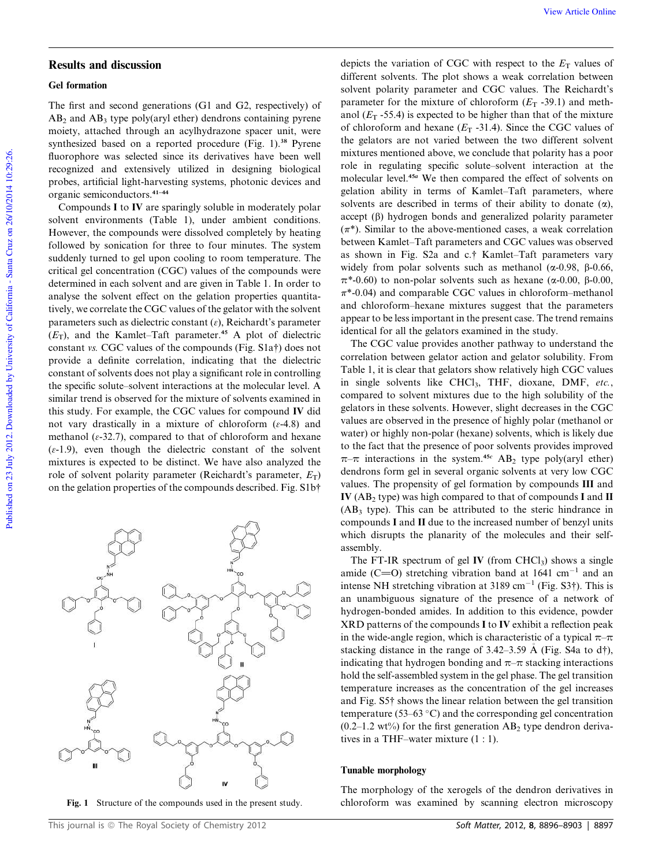#### Gel formation

The first and second generations (G1 and G2, respectively) of  $AB_2$  and  $AB_3$  type poly(aryl ether) dendrons containing pyrene moiety, attached through an acylhydrazone spacer unit, were synthesized based on a reported procedure (Fig. 1).<sup>38</sup> Pyrene fluorophore was selected since its derivatives have been well recognized and extensively utilized in designing biological probes, artificial light-harvesting systems, photonic devices and organic semiconductors.41–44

Compounds I to IV are sparingly soluble in moderately polar solvent environments (Table 1), under ambient conditions. However, the compounds were dissolved completely by heating followed by sonication for three to four minutes. The system suddenly turned to gel upon cooling to room temperature. The critical gel concentration (CGC) values of the compounds were determined in each solvent and are given in Table 1. In order to analyse the solvent effect on the gelation properties quantitatively, we correlate the CGC values of the gelator with the solvent parameters such as dielectric constant  $(\varepsilon)$ , Reichardt's parameter  $(E_T)$ , and the Kamlet–Taft parameter.<sup>45</sup> A plot of dielectric constant *vs.* CGC values of the compounds (Fig. S1a†) does not provide a definite correlation, indicating that the dielectric constant of solvents does not play a significant role in controlling the specific solute–solvent interactions at the molecular level. A similar trend is observed for the mixture of solvents examined in this study. For example, the CGC values for compound IV did not vary drastically in a mixture of chloroform  $(\varepsilon - 4.8)$  and methanol ( $\varepsilon$ -32.7), compared to that of chloroform and hexane  $(\varepsilon-1.9)$ , even though the dielectric constant of the solvent mixtures is expected to be distinct. We have also analyzed the role of solvent polarity parameter (Reichardt's parameter,  $E_T$ ) on the gelation properties of the compounds described. Fig. S1b†

This journal is © The Royal Society of Chemistry 2012 Soft Matter, 2012, 8, 8896–8903 | 8897

depicts the variation of CGC with respect to the  $E_T$  values of different solvents. The plot shows a weak correlation between solvent polarity parameter and CGC values. The Reichardt's parameter for the mixture of chloroform  $(E_T - 39.1)$  and methanol  $(E_T - 55.4)$  is expected to be higher than that of the mixture of chloroform and hexane  $(E_T -31.4)$ . Since the CGC values of the gelators are not varied between the two different solvent mixtures mentioned above, we conclude that polarity has a poor role in regulating specific solute–solvent interaction at the molecular level.<sup>45</sup><sup>a</sup> We then compared the effect of solvents on gelation ability in terms of Kamlet–Taft parameters, where solvents are described in terms of their ability to donate  $(\alpha)$ , accept  $(\beta)$  hydrogen bonds and generalized polarity parameter  $(\pi^*)$ . Similar to the above-mentioned cases, a weak correlation between Kamlet–Taft parameters and CGC values was observed as shown in Fig. S2a and c.† Kamlet–Taft parameters vary widely from polar solvents such as methanol ( $\alpha$ -0.98,  $\beta$ -0.66,  $\pi^*$ -0.60) to non-polar solvents such as hexane ( $\alpha$ -0.00,  $\beta$ -0.00,  $\pi^*$ -0.04) and comparable CGC values in chloroform–methanol and chloroform–hexane mixtures suggest that the parameters appear to be less important in the present case. The trend remains identical for all the gelators examined in the study.

The CGC value provides another pathway to understand the correlation between gelator action and gelator solubility. From Table 1, it is clear that gelators show relatively high CGC values in single solvents like CHCl3, THF, dioxane, DMF, *etc.*, compared to solvent mixtures due to the high solubility of the gelators in these solvents. However, slight decreases in the CGC values are observed in the presence of highly polar (methanol or water) or highly non-polar (hexane) solvents, which is likely due to the fact that the presence of poor solvents provides improved  $\pi-\pi$  interactions in the system.<sup>45c</sup> AB<sub>2</sub> type poly(aryl ether) dendrons form gel in several organic solvents at very low CGC values. The propensity of gel formation by compounds III and IV ( $AB_2$  type) was high compared to that of compounds I and II  $(AB<sub>3</sub>$  type). This can be attributed to the steric hindrance in compounds I and II due to the increased number of benzyl units which disrupts the planarity of the molecules and their selfassembly.

The FT-IR spectrum of gel IV (from  $CHCl<sub>3</sub>$ ) shows a single amide (C=O) stretching vibration band at  $1641 \text{ cm}^{-1}$  and an intense NH stretching vibration at 3189 cm<sup>-1</sup> (Fig. S3†). This is an unambiguous signature of the presence of a network of hydrogen-bonded amides. In addition to this evidence, powder XRD patterns of the compounds I to IV exhibit a reflection peak in the wide-angle region, which is characteristic of a typical  $\pi-\pi$ stacking distance in the range of 3.42–3.59 Å (Fig. S4a to  $d\uparrow$ ), indicating that hydrogen bonding and  $\pi-\pi$  stacking interactions hold the self-assembled system in the gel phase. The gel transition temperature increases as the concentration of the gel increases and Fig. S5† shows the linear relation between the gel transition temperature (53–63  $\degree$ C) and the corresponding gel concentration  $(0.2-1.2 \text{ wt\%})$  for the first generation AB<sub>2</sub> type dendron derivatives in a THF–water mixture (1 : 1).

#### Tunable morphology

The morphology of the xerogels of the dendron derivatives in Fig. 1 Structure of the compounds used in the present study. chloroform was examined by scanning electron microscopy

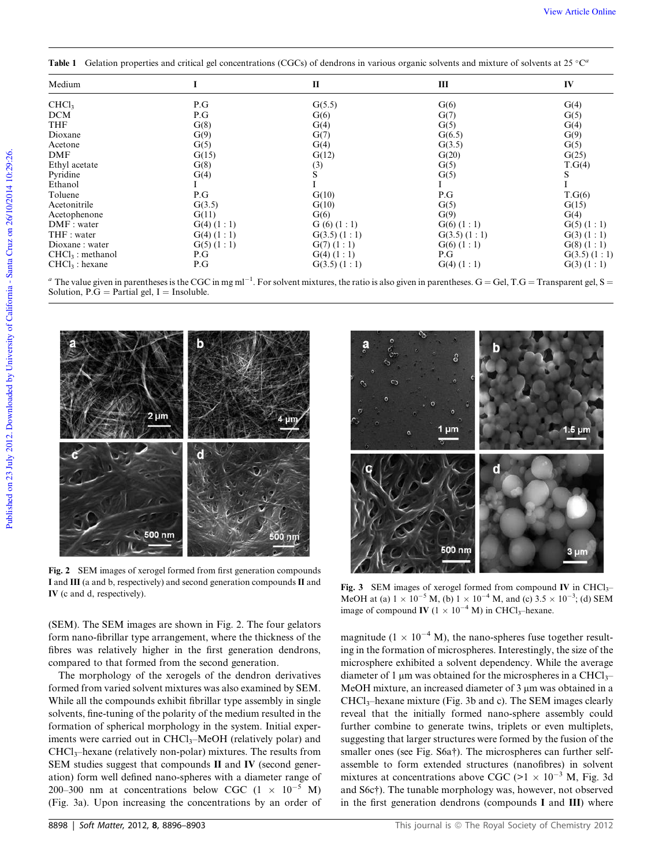Table 1 Gelation properties and critical gel concentrations (CGCs) of dendrons in various organic solvents and mixture of solvents at 25 °C<sup>a</sup>

| Medium             |                | $\mathbf{I}$     | Ш                | IV               |
|--------------------|----------------|------------------|------------------|------------------|
| CHCl <sub>3</sub>  | P.G            | G(5.5)           | G(6)             | G(4)             |
| <b>DCM</b>         | P.G            | G(6)             | G(7)             | G(5)             |
| <b>THF</b>         | G(8)           | G(4)             | G(5)             | G(4)             |
| Dioxane            | G(9)           | G(7)             | G(6.5)           | G(9)             |
| Acetone            | G(5)           | G(4)             | G(3.5)           | G(5)             |
| DMF                | G(15)          | G(12)            | G(20)            | G(25)            |
| Ethyl acetate      | G(8)           | (3)              | G(5)             | T.G(4)           |
| Pyridine           | G(4)           | S                | G(5)             | S                |
| Ethanol            |                |                  | Ι                |                  |
| Toluene            | P.G            | G(10)            | P.G              | T.G(6)           |
| Acetonitrile       | G(3.5)         | G(10)            | G(5)             | G(15)            |
| Acetophenone       | G(11)          | G(6)             | G(9)             | G(4)             |
| DMF: water         | $G(4)$ $(1:1)$ | G(6)(1:1)        | $G(6)$ $(1:1)$   | $G(5)$ $(1:1)$   |
| THF : water        | $G(4)$ $(1:1)$ | $G(3.5)$ $(1:1)$ | $G(3.5)$ $(1:1)$ | G(3) (1:1)       |
| Dioxane: water     | $G(5)$ $(1:1)$ | $G(7)$ $(1:1)$   | $G(6)$ $(1:1)$   | $G(8)$ $(1:1)$   |
| $CHCl3$ : methanol | P.G            | $G(4)$ $(1:1)$   | P.G              | $G(3.5)$ $(1:1)$ |
| $CHCl3$ : hexane   | P.G            | $G(3.5)$ $(1:1)$ | $G(4)$ $(1:1)$   | G(3)(1:1)        |

<sup>a</sup> The value given in parentheses is the CGC in mg ml<sup>-1</sup>. For solvent mixtures, the ratio is also given in parentheses. G = Gel, T.G = Transparent gel, S = Solution,  $\overrightarrow{P.G} = \overrightarrow{Partial}$  gel, I = Insoluble.



Fig. 2 SEM images of xerogel formed from first generation compounds I and III (a and b, respectively) and second generation compounds II and IV (c and d, respectively).

(SEM). The SEM images are shown in Fig. 2. The four gelators form nano-fibrillar type arrangement, where the thickness of the fibres was relatively higher in the first generation dendrons, compared to that formed from the second generation.

The morphology of the xerogels of the dendron derivatives formed from varied solvent mixtures was also examined by SEM. While all the compounds exhibit fibrillar type assembly in single solvents, fine-tuning of the polarity of the medium resulted in the formation of spherical morphology in the system. Initial experiments were carried out in CHCl<sub>3</sub>–MeOH (relatively polar) and CHCl3–hexane (relatively non-polar) mixtures. The results from SEM studies suggest that compounds II and IV (second generation) form well defined nano-spheres with a diameter range of 200–300 nm at concentrations below CGC  $(1 \times 10^{-5} \text{ M})$ (Fig. 3a). Upon increasing the concentrations by an order of



Fig. 3 SEM images of xerogel formed from compound IV in  $CHCl<sub>3</sub>$ MeOH at (a)  $1 \times 10^{-5}$  M, (b)  $1 \times 10^{-4}$  M, and (c)  $3.5 \times 10^{-3}$ ; (d) SEM image of compound IV ( $1 \times 10^{-4}$  M) in CHCl<sub>3</sub>–hexane.

magnitude (1  $\times$  10<sup>-4</sup> M), the nano-spheres fuse together resulting in the formation of microspheres. Interestingly, the size of the microsphere exhibited a solvent dependency. While the average diameter of 1  $\mu$ m was obtained for the microspheres in a CHCl<sub>3</sub>– MeOH mixture, an increased diameter of  $3 \mu m$  was obtained in a  $CHCl<sub>3</sub>$ -hexane mixture (Fig. 3b and c). The SEM images clearly reveal that the initially formed nano-sphere assembly could further combine to generate twins, triplets or even multiplets, suggesting that larger structures were formed by the fusion of the smaller ones (see Fig. S6a†). The microspheres can further selfassemble to form extended structures (nanofibres) in solvent mixtures at concentrations above CGC ( $>1 \times 10^{-3}$  M, Fig. 3d and S6c†). The tunable morphology was, however, not observed in the first generation dendrons (compounds I and III) where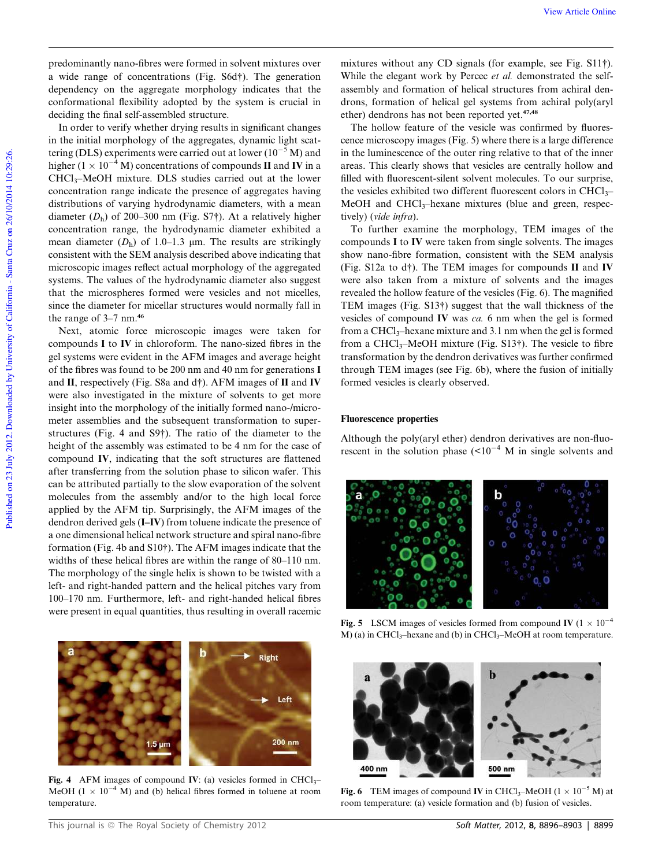predominantly nano-fibres were formed in solvent mixtures over a wide range of concentrations (Fig. S6d†). The generation dependency on the aggregate morphology indicates that the conformational flexibility adopted by the system is crucial in deciding the final self-assembled structure.

In order to verify whether drying results in significant changes in the initial morphology of the aggregates, dynamic light scattering (DLS) experiments were carried out at lower  $(10^{-5} M)$  and higher ( $1 \times 10^{-4}$  M) concentrations of compounds II and IV in a CHCl3–MeOH mixture. DLS studies carried out at the lower concentration range indicate the presence of aggregates having distributions of varying hydrodynamic diameters, with a mean diameter  $(D_h)$  of 200–300 nm (Fig. S7†). At a relatively higher concentration range, the hydrodynamic diameter exhibited a mean diameter  $(D_h)$  of 1.0–1.3  $\mu$ m. The results are strikingly consistent with the SEM analysis described above indicating that microscopic images reflect actual morphology of the aggregated systems. The values of the hydrodynamic diameter also suggest that the microspheres formed were vesicles and not micelles, since the diameter for micellar structures would normally fall in the range of 3–7 nm.<sup>46</sup>

Next, atomic force microscopic images were taken for compounds I to IV in chloroform. The nano-sized fibres in the gel systems were evident in the AFM images and average height of the fibres was found to be 200 nm and 40 nm for generations I and II, respectively (Fig. S8a and d†). AFM images of II and IV were also investigated in the mixture of solvents to get more insight into the morphology of the initially formed nano-/micrometer assemblies and the subsequent transformation to superstructures (Fig. 4 and S9†). The ratio of the diameter to the height of the assembly was estimated to be 4 nm for the case of compound IV, indicating that the soft structures are flattened after transferring from the solution phase to silicon wafer. This can be attributed partially to the slow evaporation of the solvent molecules from the assembly and/or to the high local force applied by the AFM tip. Surprisingly, the AFM images of the dendron derived gels (I–IV) from toluene indicate the presence of a one dimensional helical network structure and spiral nano-fibre formation (Fig. 4b and S10†). The AFM images indicate that the widths of these helical fibres are within the range of 80–110 nm. The morphology of the single helix is shown to be twisted with a left- and right-handed pattern and the helical pitches vary from 100–170 nm. Furthermore, left- and right-handed helical fibres were present in equal quantities, thus resulting in overall racemic



Fig. 4 AFM images of compound IV: (a) vesicles formed in  $CHCl<sub>3</sub>$ -MeOH ( $1 \times 10^{-4}$  M) and (b) helical fibres formed in toluene at room temperature.

mixtures without any CD signals (for example, see Fig. S11†). While the elegant work by Percec *et al.* demonstrated the selfassembly and formation of helical structures from achiral dendrons, formation of helical gel systems from achiral poly(aryl ether) dendrons has not been reported yet.<sup>47,48</sup>

The hollow feature of the vesicle was confirmed by fluorescence microscopy images (Fig. 5) where there is a large difference in the luminescence of the outer ring relative to that of the inner areas. This clearly shows that vesicles are centrally hollow and filled with fluorescent-silent solvent molecules. To our surprise, the vesicles exhibited two different fluorescent colors in  $CHCl<sub>3</sub>$ MeOH and  $CHCl<sub>3</sub>$ -hexane mixtures (blue and green, respectively) (*vide infra*).

To further examine the morphology, TEM images of the compounds I to IV were taken from single solvents. The images show nano-fibre formation, consistent with the SEM analysis (Fig. S12a to d†). The TEM images for compounds II and IV were also taken from a mixture of solvents and the images revealed the hollow feature of the vesicles (Fig. 6). The magnified TEM images (Fig. S13†) suggest that the wall thickness of the vesicles of compound IV was *ca.* 6 nm when the gel is formed from a CHCl<sub>3</sub>-hexane mixture and 3.1 nm when the gel is formed from a CHCl<sub>3</sub>–MeOH mixture (Fig.  $S13\dagger$ ). The vesicle to fibre transformation by the dendron derivatives was further confirmed through TEM images (see Fig. 6b), where the fusion of initially formed vesicles is clearly observed.

#### Fluorescence properties

Although the poly(aryl ether) dendron derivatives are non-fluorescent in the solution phase  $(<10^{-4}$  M in single solvents and



Fig. 5 LSCM images of vesicles formed from compound IV ( $1 \times 10^{-4}$ ) M) (a) in CHCl<sub>3</sub>–hexane and (b) in CHCl<sub>3</sub>–MeOH at room temperature.



Fig. 6 TEM images of compound IV in CHCl<sub>3</sub>–MeOH ( $1 \times 10^{-5}$  M) at room temperature: (a) vesicle formation and (b) fusion of vesicles.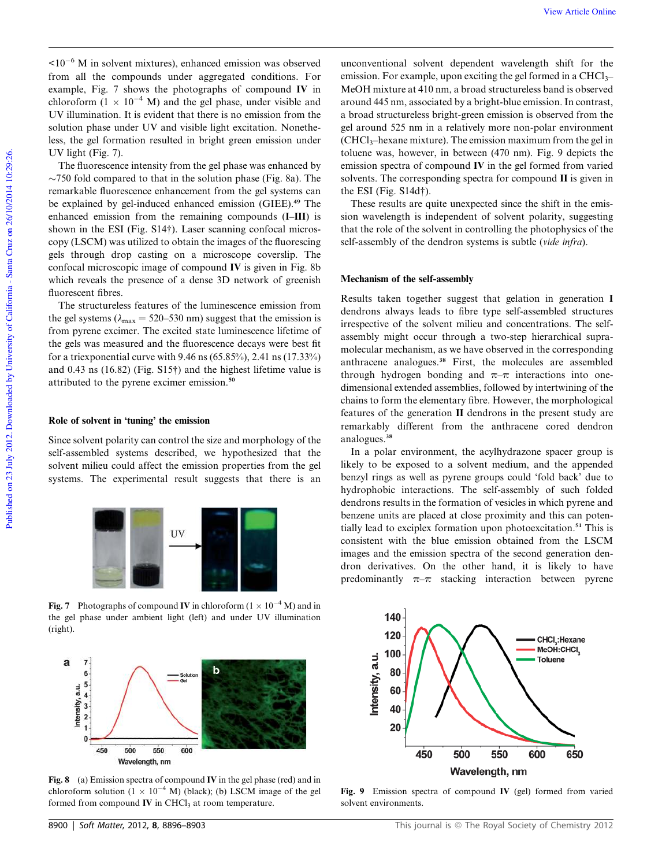$\leq 10^{-6}$  M in solvent mixtures), enhanced emission was observed from all the compounds under aggregated conditions. For example, Fig. 7 shows the photographs of compound IV in chloroform  $(1 \times 10^{-4} \text{ M})$  and the gel phase, under visible and UV illumination. It is evident that there is no emission from the solution phase under UV and visible light excitation. Nonetheless, the gel formation resulted in bright green emission under UV light (Fig. 7).

The fluorescence intensity from the gel phase was enhanced by  $\sim$ 750 fold compared to that in the solution phase (Fig. 8a). The remarkable fluorescence enhancement from the gel systems can be explained by gel-induced enhanced emission (GIEE).<sup>49</sup> The enhanced emission from the remaining compounds (I–III) is shown in the ESI (Fig. S14†). Laser scanning confocal microscopy (LSCM) was utilized to obtain the images of the fluorescing gels through drop casting on a microscope coverslip. The confocal microscopic image of compound IV is given in Fig. 8b which reveals the presence of a dense 3D network of greenish fluorescent fibres.

The structureless features of the luminescence emission from the gel systems ( $\lambda_{\text{max}}$  = 520–530 nm) suggest that the emission is from pyrene excimer. The excited state luminescence lifetime of the gels was measured and the fluorescence decays were best fit for a triexponential curve with 9.46 ns (65.85%), 2.41 ns (17.33%) and 0.43 ns (16.82) (Fig. S15†) and the highest lifetime value is attributed to the pyrene excimer emission.<sup>50</sup>

#### Role of solvent in 'tuning' the emission

Since solvent polarity can control the size and morphology of the self-assembled systems described, we hypothesized that the solvent milieu could affect the emission properties from the gel systems. The experimental result suggests that there is an



Fig. 7 Photographs of compound IV in chloroform  $(1 \times 10^{-4} \text{ M})$  and in the gel phase under ambient light (left) and under UV illumination (right).



Fig. 8 (a) Emission spectra of compound IV in the gel phase (red) and in chloroform solution  $(1 \times 10^{-4} \text{ M})$  (black); (b) LSCM image of the gel formed from compound  $IV$  in CHCl<sub>3</sub> at room temperature.

unconventional solvent dependent wavelength shift for the emission. For example, upon exciting the gel formed in a  $CHCl<sub>3</sub>$ MeOH mixture at 410 nm, a broad structureless band is observed around 445 nm, associated by a bright-blue emission. In contrast, a broad structureless bright-green emission is observed from the gel around 525 nm in a relatively more non-polar environment  $(CHCl<sub>3</sub>–hexane mixture)$ . The emission maximum from the gel in toluene was, however, in between (470 nm). Fig. 9 depicts the emission spectra of compound IV in the gel formed from varied solvents. The corresponding spectra for compound II is given in the ESI (Fig. S14d†).

These results are quite unexpected since the shift in the emission wavelength is independent of solvent polarity, suggesting that the role of the solvent in controlling the photophysics of the self-assembly of the dendron systems is subtle (*vide infra*).

## Mechanism of the self-assembly

Results taken together suggest that gelation in generation I dendrons always leads to fibre type self-assembled structures irrespective of the solvent milieu and concentrations. The selfassembly might occur through a two-step hierarchical supramolecular mechanism, as we have observed in the corresponding anthracene analogues.<sup>38</sup> First, the molecules are assembled through hydrogen bonding and  $\pi-\pi$  interactions into onedimensional extended assemblies, followed by intertwining of the chains to form the elementary fibre. However, the morphological features of the generation II dendrons in the present study are remarkably different from the anthracene cored dendron analogues.<sup>38</sup>

In a polar environment, the acylhydrazone spacer group is likely to be exposed to a solvent medium, and the appended benzyl rings as well as pyrene groups could 'fold back' due to hydrophobic interactions. The self-assembly of such folded dendrons results in the formation of vesicles in which pyrene and benzene units are placed at close proximity and this can potentially lead to exciplex formation upon photoexcitation.<sup>51</sup> This is consistent with the blue emission obtained from the LSCM images and the emission spectra of the second generation dendron derivatives. On the other hand, it is likely to have predominantly  $\pi-\pi$  stacking interaction between pyrene



Fig. 9 Emission spectra of compound IV (gel) formed from varied solvent environments.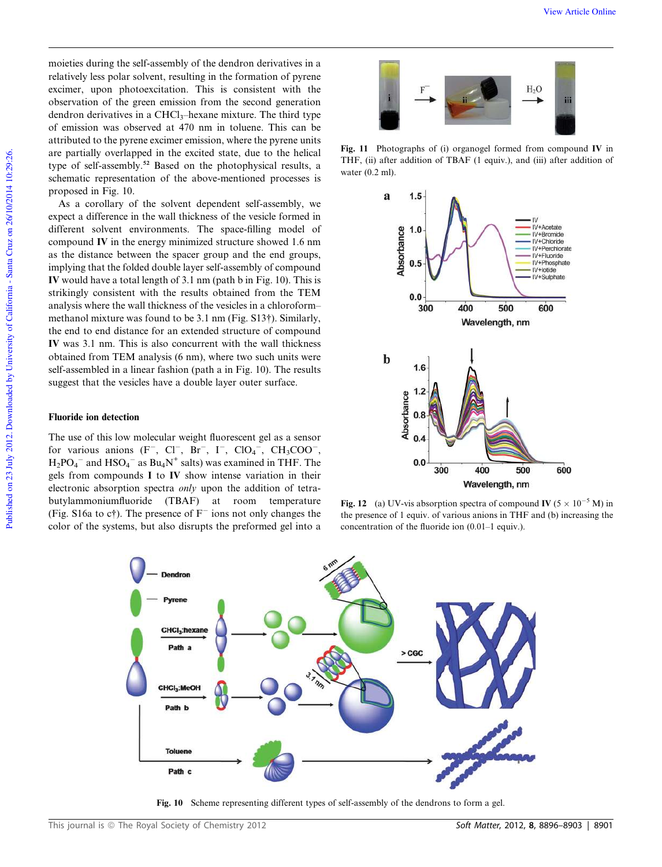moieties during the self-assembly of the dendron derivatives in a relatively less polar solvent, resulting in the formation of pyrene excimer, upon photoexcitation. This is consistent with the observation of the green emission from the second generation dendron derivatives in a  $CHCl<sub>3</sub>$ -hexane mixture. The third type of emission was observed at 470 nm in toluene. This can be attributed to the pyrene excimer emission, where the pyrene units are partially overlapped in the excited state, due to the helical type of self-assembly.<sup>52</sup> Based on the photophysical results, a schematic representation of the above-mentioned processes is proposed in Fig. 10.

As a corollary of the solvent dependent self-assembly, we expect a difference in the wall thickness of the vesicle formed in different solvent environments. The space-filling model of compound IV in the energy minimized structure showed 1.6 nm as the distance between the spacer group and the end groups, implying that the folded double layer self-assembly of compound IV would have a total length of 3.1 nm (path b in Fig. 10). This is strikingly consistent with the results obtained from the TEM analysis where the wall thickness of the vesicles in a chloroform– methanol mixture was found to be 3.1 nm (Fig. S13†). Similarly, the end to end distance for an extended structure of compound IV was 3.1 nm. This is also concurrent with the wall thickness obtained from TEM analysis (6 nm), where two such units were self-assembled in a linear fashion (path a in Fig. 10). The results suggest that the vesicles have a double layer outer surface.

# Fluoride ion detection

The use of this low molecular weight fluorescent gel as a sensor for various anions  $(F^-, Cl^-, Br^-, I^-, ClO_4^-, CH_3COO^-,$  $H_2PO_4^-$  and  $HSO_4^-$  as  $Bu_4N^+$  salts) was examined in THF. The gels from compounds I to IV show intense variation in their electronic absorption spectra *only* upon the addition of tetrabutylammoniumfluoride (TBAF) at room temperature (Fig. S16a to c†). The presence of  $F^-$  ions not only changes the color of the systems, but also disrupts the preformed gel into a



Fig. 11 Photographs of (i) organogel formed from compound IV in THF, (ii) after addition of TBAF (1 equiv.), and (iii) after addition of water (0.2 ml).



Fig. 12 (a) UV-vis absorption spectra of compound IV ( $5 \times 10^{-5}$  M) in the presence of 1 equiv. of various anions in THF and (b) increasing the concentration of the fluoride ion (0.01–1 equiv.).



Fig. 10 Scheme representing different types of self-assembly of the dendrons to form a gel.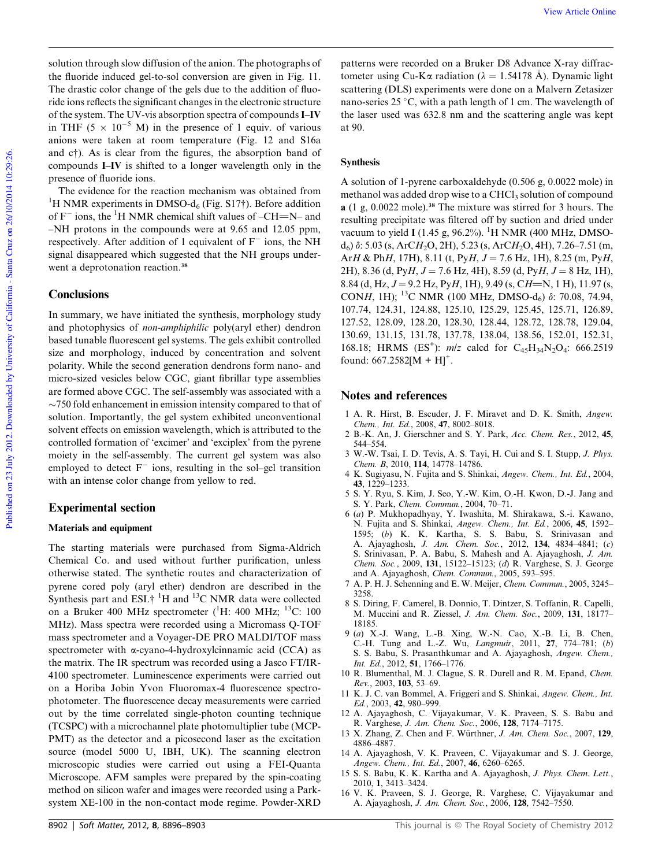solution through slow diffusion of the anion. The photographs of the fluoride induced gel-to-sol conversion are given in Fig. 11. The drastic color change of the gels due to the addition of fluoride ions reflects the significant changes in the electronic structure of the system. The UV-vis absorption spectra of compounds I–IV in THF (5  $\times$  10<sup>-5</sup> M) in the presence of 1 equiv. of various anions were taken at room temperature (Fig. 12 and S16a and c†). As is clear from the figures, the absorption band of compounds I–IV is shifted to a longer wavelength only in the presence of fluoride ions.

The evidence for the reaction mechanism was obtained from <sup>1</sup>H NMR experiments in DMSO- $d_6$  (Fig. S17†). Before addition of  $F^-$  ions, the <sup>1</sup>H NMR chemical shift values of –CH=N– and –NH protons in the compounds were at 9.65 and 12.05 ppm, respectively. After addition of 1 equivalent of  $F^-$  ions, the NH signal disappeared which suggested that the NH groups underwent a deprotonation reaction.<sup>38</sup>

### **Conclusions**

In summary, we have initiated the synthesis, morphology study and photophysics of *non-amphiphilic* poly(aryl ether) dendron based tunable fluorescent gel systems. The gels exhibit controlled size and morphology, induced by concentration and solvent polarity. While the second generation dendrons form nano- and micro-sized vesicles below CGC, giant fibrillar type assemblies are formed above CGC. The self-assembly was associated with a  $\sim$ 750 fold enhancement in emission intensity compared to that of solution. Importantly, the gel system exhibited unconventional solvent effects on emission wavelength, which is attributed to the controlled formation of 'excimer' and 'exciplex' from the pyrene moiety in the self-assembly. The current gel system was also employed to detect  $F^-$  ions, resulting in the sol–gel transition with an intense color change from yellow to red.

# Experimental section

### Materials and equipment

The starting materials were purchased from Sigma-Aldrich Chemical Co. and used without further purification, unless otherwise stated. The synthetic routes and characterization of pyrene cored poly (aryl ether) dendron are described in the Synthesis part and ESI.<sup>† 1</sup>H and <sup>13</sup>C NMR data were collected on a Bruker 400 MHz spectrometer  $(^1H: 400$  MHz;  $^{13}C: 100$ MHz). Mass spectra were recorded using a Micromass Q-TOF mass spectrometer and a Voyager-DE PRO MALDI/TOF mass spectrometer with a-cyano-4-hydroxylcinnamic acid (CCA) as the matrix. The IR spectrum was recorded using a Jasco FT/IR-4100 spectrometer. Luminescence experiments were carried out on a Horiba Jobin Yvon Fluoromax-4 fluorescence spectrophotometer. The fluorescence decay measurements were carried out by the time correlated single-photon counting technique (TCSPC) with a microchannel plate photomultiplier tube (MCP-PMT) as the detector and a picosecond laser as the excitation source (model 5000 U, IBH, UK). The scanning electron microscopic studies were carried out using a FEI-Quanta Microscope. AFM samples were prepared by the spin-coating method on silicon wafer and images were recorded using a Parksystem XE-100 in the non-contact mode regime. Powder-XRD

patterns were recorded on a Bruker D8 Advance X-ray diffractometer using Cu-K $\alpha$  radiation ( $\lambda = 1.54178$  Å). Dynamic light scattering (DLS) experiments were done on a Malvern Zetasizer nano-series  $25^{\circ}$ C, with a path length of 1 cm. The wavelength of the laser used was 632.8 nm and the scattering angle was kept at 90.

#### **Synthesis**

A solution of 1-pyrene carboxaldehyde (0.506 g, 0.0022 mole) in methanol was added drop wise to a CHCl<sub>3</sub> solution of compound a (1 g, 0.0022 mole).<sup>38</sup> The mixture was stirred for 3 hours. The resulting precipitate was filtered off by suction and dried under vacuum to yield I (1.45 g, 96.2%). <sup>1</sup>H NMR (400 MHz, DMSOd<sub>6</sub>) δ: 5.03 (s, ArC*H*<sub>2</sub>O, 2H), 5.23 (s, ArC*H*<sub>2</sub>O, 4H), 7.26-7.51 (m, Ar*H* & Ph*H*, 17H), 8.11 (t, Py*H*,  $J = 7.6$  Hz, 1H), 8.25 (m, Py*H*,  $2H$ ), 8.36 (d, Py*H*,  $J = 7.6$  Hz, 4H), 8.59 (d, Py*H*,  $J = 8$  Hz, 1H), 8.84 (d, Hz,  $J = 9.2$  Hz, Py*H*, 1H), 9.49 (s, C*H*=N, 1 H), 11.97 (s, CONH, 1H); <sup>13</sup>C NMR (100 MHz, DMSO-d<sub>6</sub>)  $\delta$ : 70.08, 74.94, 107.74, 124.31, 124.88, 125.10, 125.29, 125.45, 125.71, 126.89, 127.52, 128.09, 128.20, 128.30, 128.44, 128.72, 128.78, 129.04, 130.69, 131.15, 131.78, 137.78, 138.04, 138.56, 152.01, 152.31, 168.18; HRMS (ES<sup>+</sup>):  $mlz$  calcd for C<sub>45</sub>H<sub>34</sub>N<sub>2</sub>O<sub>4</sub>: 666.2519 found:  $667.2582[M + H]$ <sup>+</sup>.

# Notes and references

- 1 A. R. Hirst, B. Escuder, J. F. Miravet and D. K. Smith, *Angew. Chem., Int. Ed.*, 2008, 47, 8002–8018.
- 2 B.-K. An, J. Gierschner and S. Y. Park, *Acc. Chem. Res.*, 2012, 45, 544–554.
- 3 W.-W. Tsai, I. D. Tevis, A. S. Tayi, H. Cui and S. I. Stupp, *J. Phys. Chem. B*, 2010, 114, 14778–14786.
- 4 K. Sugiyasu, N. Fujita and S. Shinkai, *Angew. Chem., Int. Ed.*, 2004, 43, 1229–1233.
- 5 S. Y. Ryu, S. Kim, J. Seo, Y.-W. Kim, O.-H. Kwon, D.-J. Jang and S. Y. Park, *Chem. Commun.*, 2004, 70–71.
- 6 (*a*) P. Mukhopadhyay, Y. Iwashita, M. Shirakawa, S.-i. Kawano, N. Fujita and S. Shinkai, *Angew. Chem., Int. Ed.*, 2006, 45, 1592– 1595; (*b*) K. K. Kartha, S. S. Babu, S. Srinivasan and A. Ajayaghosh, *J. Am. Chem. Soc.*, 2012, 134, 4834–4841; (*c*) S. Srinivasan, P. A. Babu, S. Mahesh and A. Ajayaghosh, *J. Am. Chem. Soc.*, 2009, 131, 15122–15123; (*d*) R. Varghese, S. J. George and A. Ajayaghosh, *Chem. Commun.*, 2005, 593–595.
- 7 A. P. H. J. Schenning and E. W. Meijer, *Chem. Commun.*, 2005, 3245– 3258.
- 8 S. Diring, F. Camerel, B. Donnio, T. Dintzer, S. Toffanin, R. Capelli, M. Muccini and R. Ziessel, *J. Am. Chem. Soc.*, 2009, 131, 18177– 18185.
- 9 (*a*) X.-J. Wang, L.-B. Xing, W.-N. Cao, X.-B. Li, B. Chen, C.-H. Tung and L.-Z. Wu, *Langmuir*, 2011, 27, 774–781; (*b*) S. S. Babu, S. Prasanthkumar and A. Ajayaghosh, *Angew. Chem., Int. Ed.*, 2012, 51, 1766–1776.
- 10 R. Blumenthal, M. J. Clague, S. R. Durell and R. M. Epand, *Chem. Rev.*, 2003, 103, 53–69.
- 11 K. J. C. van Bommel, A. Friggeri and S. Shinkai, *Angew. Chem., Int. Ed.*, 2003, 42, 980–999.
- 12 A. Ajayaghosh, C. Vijayakumar, V. K. Praveen, S. S. Babu and R. Varghese, *J. Am. Chem. Soc.*, 2006, 128, 7174–7175.
- 13 X. Zhang, Z. Chen and F. Würthner, *J. Am. Chem. Soc.*, 2007, 129, 4886–4887.
- 14 A. Ajayaghosh, V. K. Praveen, C. Vijayakumar and S. J. George, *Angew. Chem., Int. Ed.*, 2007, 46, 6260–6265.
- 15 S. S. Babu, K. K. Kartha and A. Ajayaghosh, *J. Phys. Chem. Lett.*, 2010, 1, 3413–3424.
- 16 V. K. Praveen, S. J. George, R. Varghese, C. Vijayakumar and A. Ajayaghosh, *J. Am. Chem. Soc.*, 2006, 128, 7542–7550.